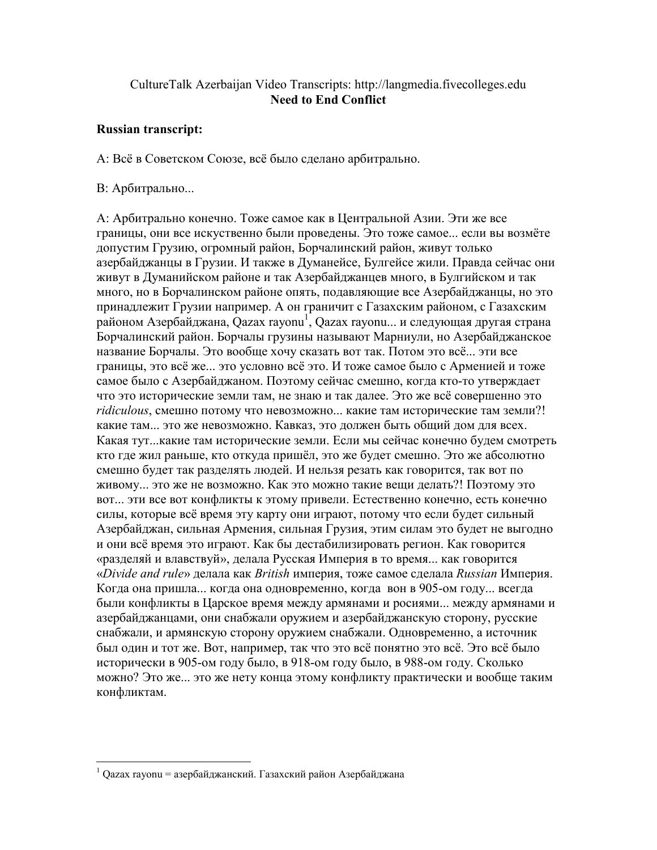# CultureTalk Azerbaijan Video Transcripts: http://langmedia.fivecolleges.edu Need to End Conflict

## Russian transcript:

А: Всё в Советском Союзе, всё было сделано арбитрально.

## В: Арбитрально...

А: Арбитрально конечно. Тоже самое как в Центральной Азии. Эти же все границы, они все искуственно были проведены. Это тоже самое... если вы возмёте допустим Грузию, огромный район, Борчалинский район, живут только азербайджанцы в Грузии. И также в Думанейсе, Булгейсе жили. Правда сейчас они живут в Думанийском районе и так Азербайджанцев много, в Булгийском и так много, но в Борчалинском районе опять, подавляющие все Азербайджанцы, но это принадлежит Грузии например. А он граничит с Газахским районом, с Газахским районом Азербайджана, Qazax rayonu<sup>1</sup>, Qazax rayonu... и следующая другая страна Борчалинский район. Борчалы грузины называют Марниули, но Азербайджанское название Борчалы. Это вообще хочу сказать вот так. Потом это всё... эти все границы, это всё же... это условно всё это. И тоже самое было с Арменией и тоже самое было с Азербайджаном. Поэтому сейчас смешно, когда кто-то утверждает что это исторические земли там, не знаю и так далее. Это же всё совершенно это ridiculous, смешно потому что невозможно... какие там исторические там земли?! какие там... это же невозможно. Кавказ, это должен быть общий дом для всех. Какая тут...какие там исторические земли. Если мы сейчас конечно будем смотреть кто где жил раньше, кто откуда пришёл, это же будет смешно. Это же абсолютно смешно будет так разделять людей. И нельзя резать как говорится, так вот по живому... это же не возможно. Как это можно такие вещи делать?! Поэтому это вот... эти все вот конфликты к этому привели. Естественно конечно, есть конечно силы, которые всё время эту карту они играют, потому что если будет сильный Азербайджан, сильная Армения, сильная Грузия, этим силам это будет не выгодно и они всё время это играют. Как бы дестабилизировать регион. Как говорится «разделяй и влавствуй», делала Русская Империя в то время... как говорится «Divide and rule» делала как British империя, тоже самое сделала Russian Империя. Когда она пришла... когда она одновременно, когда вон в 905-ом году... всегда были конфликты в Царское время между армянами и росиями... между армянами и азербайджанцами, они снабжали оружием и азербайджанскую сторону, русские снабжали, и армянскую сторону оружием снабжали. Одновременно, а источник был один и тот же. Вот, например, так что это всё понятно это всё. Это всё было исторически в 905-ом году было, в 918-ом году было, в 988-ом году. Сколько можно? Это же... это же нету конца этому конфликту практически и вообще таким конфликтам.

 $\frac{1}{1}$  Qazax rayonu = азербайджанский. Газахский район Азербайджана